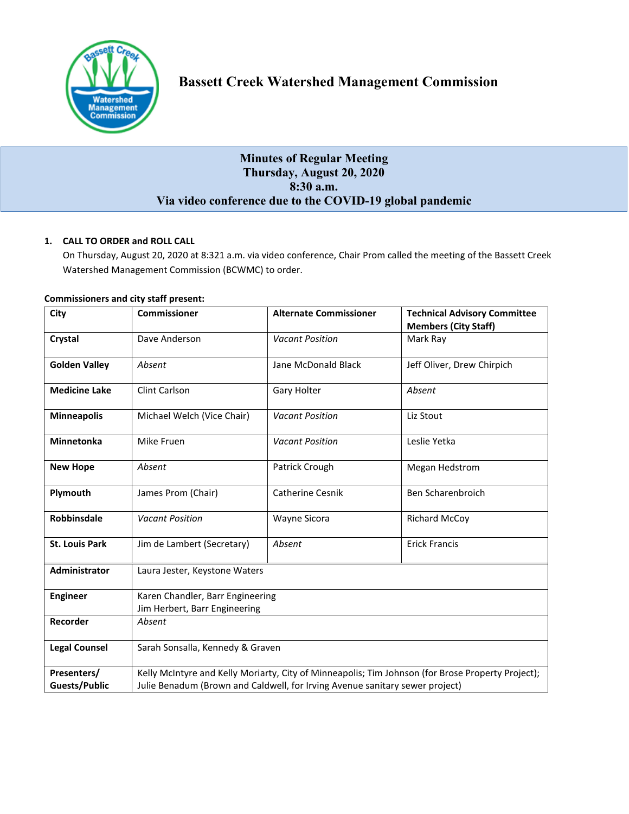

# **Bassett Creek Watershed Management Commission**

# **Minutes of Regular Meeting Thursday, August 20, 2020 8:30 a.m. Via video conference due to the COVID-19 global pandemic**

# **1. CALL TO ORDER and ROLL CALL**

On Thursday, August 20, 2020 at 8:321 a.m. via video conference, Chair Prom called the meeting of the Bassett Creek Watershed Management Commission (BCWMC) to order.

| City                  | <b>Commissioner</b>                                                                               | <b>Alternate Commissioner</b> | <b>Technical Advisory Committee</b><br><b>Members (City Staff)</b> |
|-----------------------|---------------------------------------------------------------------------------------------------|-------------------------------|--------------------------------------------------------------------|
| Crystal               | Dave Anderson                                                                                     | <b>Vacant Position</b>        | Mark Ray                                                           |
| <b>Golden Valley</b>  | Absent                                                                                            | Jane McDonald Black           | Jeff Oliver, Drew Chirpich                                         |
| <b>Medicine Lake</b>  | Clint Carlson                                                                                     | Gary Holter                   | Absent                                                             |
| <b>Minneapolis</b>    | Michael Welch (Vice Chair)                                                                        | <b>Vacant Position</b>        | Liz Stout                                                          |
| <b>Minnetonka</b>     | Mike Fruen                                                                                        | <b>Vacant Position</b>        | Leslie Yetka                                                       |
| <b>New Hope</b>       | Absent                                                                                            | Patrick Crough                | Megan Hedstrom                                                     |
| Plymouth              | James Prom (Chair)                                                                                | <b>Catherine Cesnik</b>       | Ben Scharenbroich                                                  |
| <b>Robbinsdale</b>    | <b>Vacant Position</b>                                                                            | Wayne Sicora                  | <b>Richard McCoy</b>                                               |
| <b>St. Louis Park</b> | Jim de Lambert (Secretary)                                                                        | Absent                        | <b>Erick Francis</b>                                               |
| <b>Administrator</b>  | Laura Jester, Keystone Waters                                                                     |                               |                                                                    |
| <b>Engineer</b>       | Karen Chandler, Barr Engineering<br>Jim Herbert, Barr Engineering                                 |                               |                                                                    |
| Recorder              | Absent                                                                                            |                               |                                                                    |
| <b>Legal Counsel</b>  | Sarah Sonsalla, Kennedy & Graven                                                                  |                               |                                                                    |
| Presenters/           | Kelly McIntyre and Kelly Moriarty, City of Minneapolis; Tim Johnson (for Brose Property Project); |                               |                                                                    |
| <b>Guests/Public</b>  | Julie Benadum (Brown and Caldwell, for Irving Avenue sanitary sewer project)                      |                               |                                                                    |

# **Commissioners and city staff present:**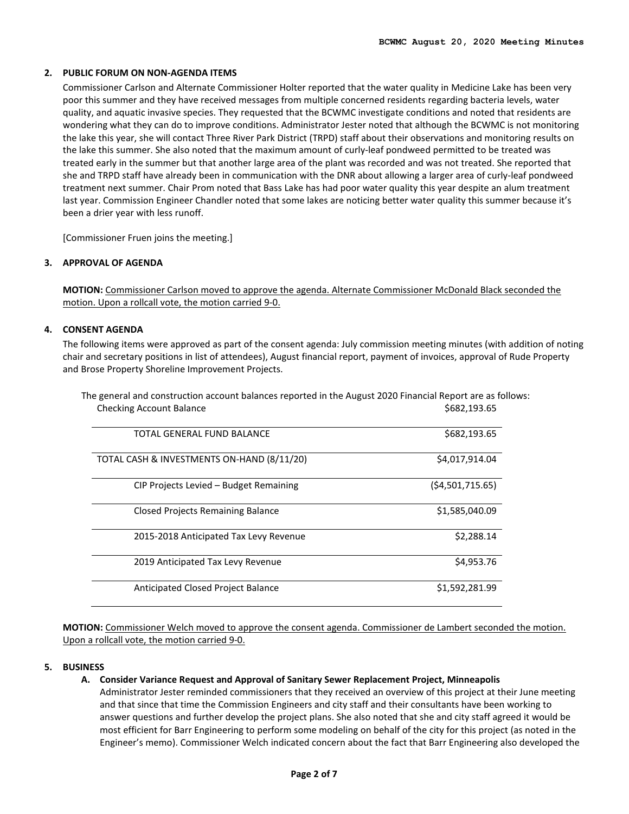#### **2. PUBLIC FORUM ON NON-AGENDA ITEMS**

Commissioner Carlson and Alternate Commissioner Holter reported that the water quality in Medicine Lake has been very poor this summer and they have received messages from multiple concerned residents regarding bacteria levels, water quality, and aquatic invasive species. They requested that the BCWMC investigate conditions and noted that residents are wondering what they can do to improve conditions. Administrator Jester noted that although the BCWMC is not monitoring the lake this year, she will contact Three River Park District (TRPD) staff about their observations and monitoring results on the lake this summer. She also noted that the maximum amount of curly-leaf pondweed permitted to be treated was treated early in the summer but that another large area of the plant was recorded and was not treated. She reported that she and TRPD staff have already been in communication with the DNR about allowing a larger area of curly-leaf pondweed treatment next summer. Chair Prom noted that Bass Lake has had poor water quality this year despite an alum treatment last year. Commission Engineer Chandler noted that some lakes are noticing better water quality this summer because it's been a drier year with less runoff.

[Commissioner Fruen joins the meeting.]

# **3. APPROVAL OF AGENDA**

**MOTION:** Commissioner Carlson moved to approve the agenda. Alternate Commissioner McDonald Black seconded the motion. Upon a rollcall vote, the motion carried 9-0.

# **4. CONSENT AGENDA**

The following items were approved as part of the consent agenda: July commission meeting minutes (with addition of noting chair and secretary positions in list of attendees), August financial report, payment of invoices, approval of Rude Property and Brose Property Shoreline Improvement Projects.

The general and construction account balances reported in the August 2020 Financial Report are as follows: Checking Account Balance **\$682,193.65** (\$682,193.65)

| TOTAL GENERAL FUND BALANCE                 | \$682,193.65      |
|--------------------------------------------|-------------------|
| TOTAL CASH & INVESTMENTS ON-HAND (8/11/20) | \$4,017,914.04    |
| CIP Projects Levied - Budget Remaining     | (54, 501, 715.65) |
| Closed Projects Remaining Balance          | \$1,585,040.09    |
| 2015-2018 Anticipated Tax Levy Revenue     | \$2,288.14        |
| 2019 Anticipated Tax Levy Revenue          | \$4,953.76        |
| Anticipated Closed Project Balance         | \$1,592,281.99    |

**MOTION:** Commissioner Welch moved to approve the consent agenda. Commissioner de Lambert seconded the motion. Upon a rollcall vote, the motion carried 9-0.

#### **5. BUSINESS**

#### **A. Consider Variance Request and Approval of Sanitary Sewer Replacement Project, Minneapolis**

Administrator Jester reminded commissioners that they received an overview of this project at their June meeting and that since that time the Commission Engineers and city staff and their consultants have been working to answer questions and further develop the project plans. She also noted that she and city staff agreed it would be most efficient for Barr Engineering to perform some modeling on behalf of the city for this project (as noted in the Engineer's memo). Commissioner Welch indicated concern about the fact that Barr Engineering also developed the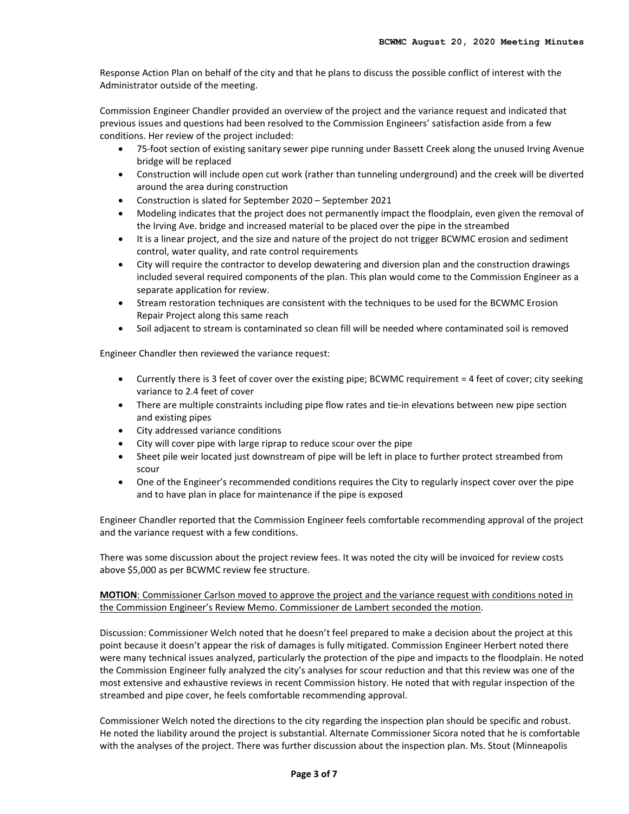Response Action Plan on behalf of the city and that he plans to discuss the possible conflict of interest with the Administrator outside of the meeting.

Commission Engineer Chandler provided an overview of the project and the variance request and indicated that previous issues and questions had been resolved to the Commission Engineers' satisfaction aside from a few conditions. Her review of the project included:

- 75-foot section of existing sanitary sewer pipe running under Bassett Creek along the unused Irving Avenue bridge will be replaced
- Construction will include open cut work (rather than tunneling underground) and the creek will be diverted around the area during construction
- Construction is slated for September 2020 September 2021
- Modeling indicates that the project does not permanently impact the floodplain, even given the removal of the Irving Ave. bridge and increased material to be placed over the pipe in the streambed
- It is a linear project, and the size and nature of the project do not trigger BCWMC erosion and sediment control, water quality, and rate control requirements
- City will require the contractor to develop dewatering and diversion plan and the construction drawings included several required components of the plan. This plan would come to the Commission Engineer as a separate application for review.
- Stream restoration techniques are consistent with the techniques to be used for the BCWMC Erosion Repair Project along this same reach
- Soil adjacent to stream is contaminated so clean fill will be needed where contaminated soil is removed

Engineer Chandler then reviewed the variance request:

- Currently there is 3 feet of cover over the existing pipe; BCWMC requirement = 4 feet of cover; city seeking variance to 2.4 feet of cover
- There are multiple constraints including pipe flow rates and tie-in elevations between new pipe section and existing pipes
- City addressed variance conditions
- City will cover pipe with large riprap to reduce scour over the pipe
- Sheet pile weir located just downstream of pipe will be left in place to further protect streambed from scour
- One of the Engineer's recommended conditions requires the City to regularly inspect cover over the pipe and to have plan in place for maintenance if the pipe is exposed

Engineer Chandler reported that the Commission Engineer feels comfortable recommending approval of the project and the variance request with a few conditions.

There was some discussion about the project review fees. It was noted the city will be invoiced for review costs above \$5,000 as per BCWMC review fee structure.

**MOTION**: Commissioner Carlson moved to approve the project and the variance request with conditions noted in the Commission Engineer's Review Memo. Commissioner de Lambert seconded the motion.

Discussion: Commissioner Welch noted that he doesn't feel prepared to make a decision about the project at this point because it doesn't appear the risk of damages is fully mitigated. Commission Engineer Herbert noted there were many technical issues analyzed, particularly the protection of the pipe and impacts to the floodplain. He noted the Commission Engineer fully analyzed the city's analyses for scour reduction and that this review was one of the most extensive and exhaustive reviews in recent Commission history. He noted that with regular inspection of the streambed and pipe cover, he feels comfortable recommending approval.

Commissioner Welch noted the directions to the city regarding the inspection plan should be specific and robust. He noted the liability around the project is substantial. Alternate Commissioner Sicora noted that he is comfortable with the analyses of the project. There was further discussion about the inspection plan. Ms. Stout (Minneapolis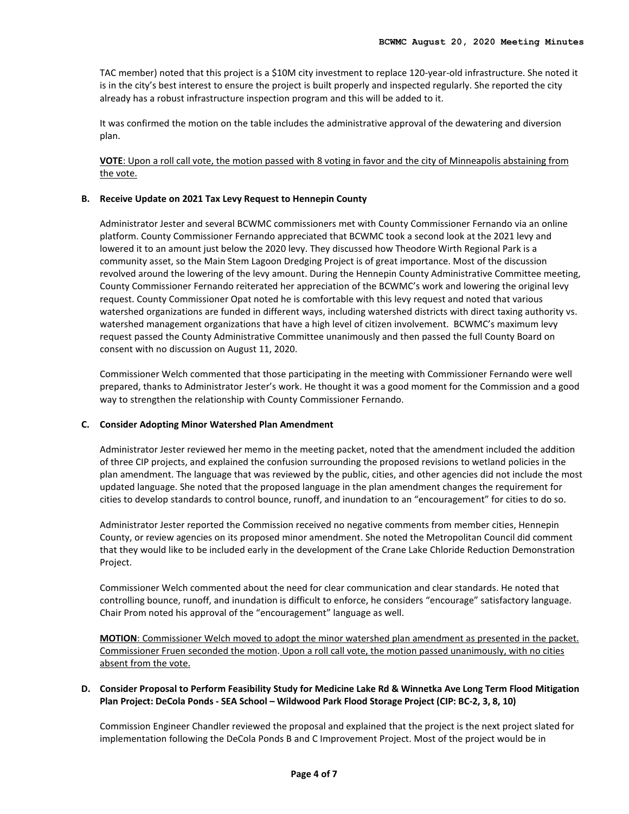TAC member) noted that this project is a \$10M city investment to replace 120-year-old infrastructure. She noted it is in the city's best interest to ensure the project is built properly and inspected regularly. She reported the city already has a robust infrastructure inspection program and this will be added to it.

It was confirmed the motion on the table includes the administrative approval of the dewatering and diversion plan.

**VOTE**: Upon a roll call vote, the motion passed with 8 voting in favor and the city of Minneapolis abstaining from the vote.

#### **B. Receive Update on 2021 Tax Levy Request to Hennepin County**

Administrator Jester and several BCWMC commissioners met with County Commissioner Fernando via an online platform. County Commissioner Fernando appreciated that BCWMC took a second look at the 2021 levy and lowered it to an amount just below the 2020 levy. They discussed how Theodore Wirth Regional Park is a community asset, so the Main Stem Lagoon Dredging Project is of great importance. Most of the discussion revolved around the lowering of the levy amount. During the Hennepin County Administrative Committee meeting, County Commissioner Fernando reiterated her appreciation of the BCWMC's work and lowering the original levy request. County Commissioner Opat noted he is comfortable with this levy request and noted that various watershed organizations are funded in different ways, including watershed districts with direct taxing authority vs. watershed management organizations that have a high level of citizen involvement. BCWMC's maximum levy request passed the County Administrative Committee unanimously and then passed the full County Board on consent with no discussion on August 11, 2020.

Commissioner Welch commented that those participating in the meeting with Commissioner Fernando were well prepared, thanks to Administrator Jester's work. He thought it was a good moment for the Commission and a good way to strengthen the relationship with County Commissioner Fernando.

#### **C. Consider Adopting Minor Watershed Plan Amendment**

Administrator Jester reviewed her memo in the meeting packet, noted that the amendment included the addition of three CIP projects, and explained the confusion surrounding the proposed revisions to wetland policies in the plan amendment. The language that was reviewed by the public, cities, and other agencies did not include the most updated language. She noted that the proposed language in the plan amendment changes the requirement for cities to develop standards to control bounce, runoff, and inundation to an "encouragement" for cities to do so.

Administrator Jester reported the Commission received no negative comments from member cities, Hennepin County, or review agencies on its proposed minor amendment. She noted the Metropolitan Council did comment that they would like to be included early in the development of the Crane Lake Chloride Reduction Demonstration Project.

Commissioner Welch commented about the need for clear communication and clear standards. He noted that controlling bounce, runoff, and inundation is difficult to enforce, he considers "encourage" satisfactory language. Chair Prom noted his approval of the "encouragement" language as well.

**MOTION**: Commissioner Welch moved to adopt the minor watershed plan amendment as presented in the packet. Commissioner Fruen seconded the motion. Upon a roll call vote, the motion passed unanimously, with no cities absent from the vote.

# **D. Consider Proposal to Perform Feasibility Study for Medicine Lake Rd & Winnetka Ave Long Term Flood Mitigation Plan Project: DeCola Ponds - SEA School – Wildwood Park Flood Storage Project (CIP: BC-2, 3, 8, 10)**

Commission Engineer Chandler reviewed the proposal and explained that the project is the next project slated for implementation following the DeCola Ponds B and C Improvement Project. Most of the project would be in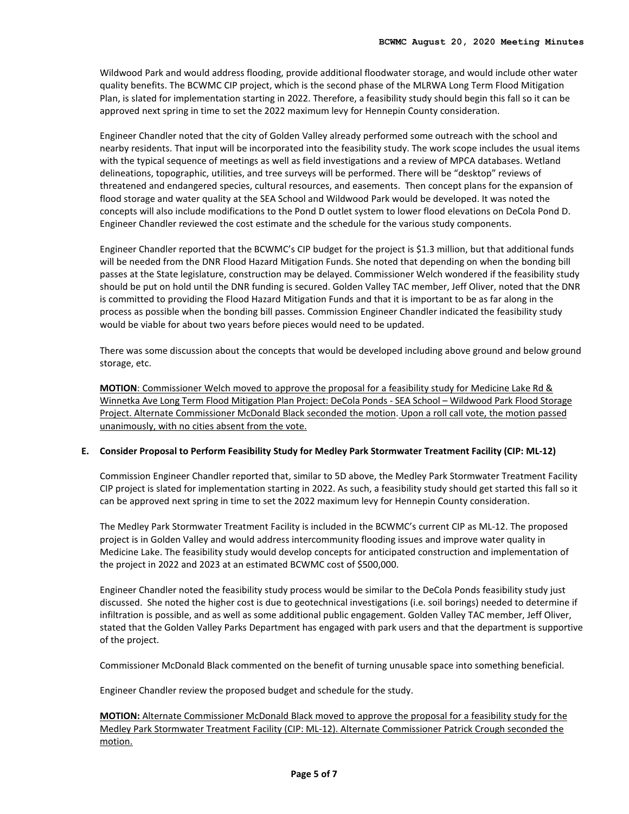Wildwood Park and would address flooding, provide additional floodwater storage, and would include other water quality benefits. The BCWMC CIP project, which is the second phase of the MLRWA Long Term Flood Mitigation Plan, is slated for implementation starting in 2022. Therefore, a feasibility study should begin this fall so it can be approved next spring in time to set the 2022 maximum levy for Hennepin County consideration.

Engineer Chandler noted that the city of Golden Valley already performed some outreach with the school and nearby residents. That input will be incorporated into the feasibility study. The work scope includes the usual items with the typical sequence of meetings as well as field investigations and a review of MPCA databases. Wetland delineations, topographic, utilities, and tree surveys will be performed. There will be "desktop" reviews of threatened and endangered species, cultural resources, and easements. Then concept plans for the expansion of flood storage and water quality at the SEA School and Wildwood Park would be developed. It was noted the concepts will also include modifications to the Pond D outlet system to lower flood elevations on DeCola Pond D. Engineer Chandler reviewed the cost estimate and the schedule for the various study components.

Engineer Chandler reported that the BCWMC's CIP budget for the project is \$1.3 million, but that additional funds will be needed from the DNR Flood Hazard Mitigation Funds. She noted that depending on when the bonding bill passes at the State legislature, construction may be delayed. Commissioner Welch wondered if the feasibility study should be put on hold until the DNR funding is secured. Golden Valley TAC member, Jeff Oliver, noted that the DNR is committed to providing the Flood Hazard Mitigation Funds and that it is important to be as far along in the process as possible when the bonding bill passes. Commission Engineer Chandler indicated the feasibility study would be viable for about two years before pieces would need to be updated.

There was some discussion about the concepts that would be developed including above ground and below ground storage, etc.

**MOTION**: Commissioner Welch moved to approve the proposal for a feasibility study for Medicine Lake Rd & Winnetka Ave Long Term Flood Mitigation Plan Project: DeCola Ponds - SEA School – Wildwood Park Flood Storage Project. Alternate Commissioner McDonald Black seconded the motion. Upon a roll call vote, the motion passed unanimously, with no cities absent from the vote.

#### **E. Consider Proposal to Perform Feasibility Study for Medley Park Stormwater Treatment Facility (CIP: ML-12)**

Commission Engineer Chandler reported that, similar to 5D above, the Medley Park Stormwater Treatment Facility CIP project is slated for implementation starting in 2022. As such, a feasibility study should get started this fall so it can be approved next spring in time to set the 2022 maximum levy for Hennepin County consideration.

The Medley Park Stormwater Treatment Facility is included in the BCWMC's current CIP as ML-12. The proposed project is in Golden Valley and would address intercommunity flooding issues and improve water quality in Medicine Lake. The feasibility study would develop concepts for anticipated construction and implementation of the project in 2022 and 2023 at an estimated BCWMC cost of \$500,000.

Engineer Chandler noted the feasibility study process would be similar to the DeCola Ponds feasibility study just discussed. She noted the higher cost is due to geotechnical investigations (i.e. soil borings) needed to determine if infiltration is possible, and as well as some additional public engagement. Golden Valley TAC member, Jeff Oliver, stated that the Golden Valley Parks Department has engaged with park users and that the department is supportive of the project.

Commissioner McDonald Black commented on the benefit of turning unusable space into something beneficial.

Engineer Chandler review the proposed budget and schedule for the study.

**MOTION:** Alternate Commissioner McDonald Black moved to approve the proposal for a feasibility study for the Medley Park Stormwater Treatment Facility (CIP: ML-12). Alternate Commissioner Patrick Crough seconded the motion.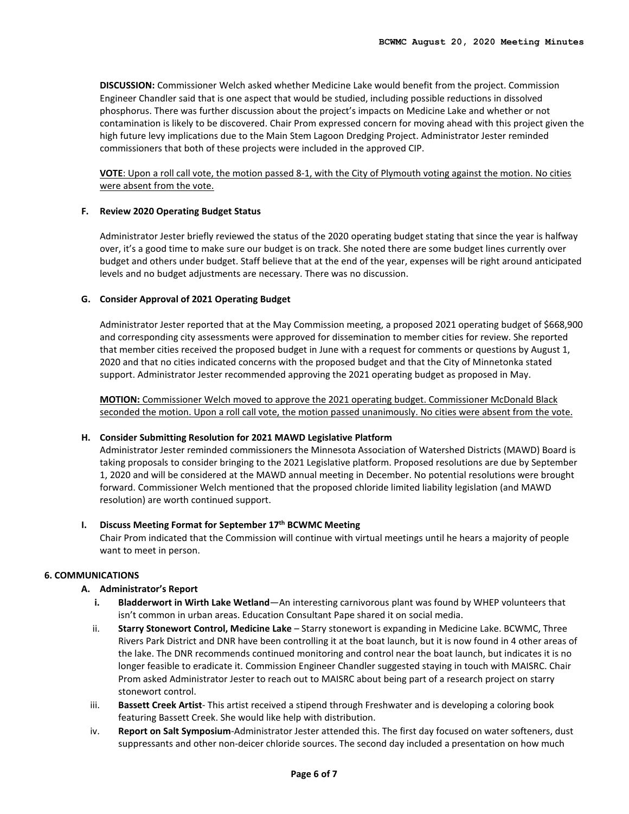**DISCUSSION:** Commissioner Welch asked whether Medicine Lake would benefit from the project. Commission Engineer Chandler said that is one aspect that would be studied, including possible reductions in dissolved phosphorus. There was further discussion about the project's impacts on Medicine Lake and whether or not contamination is likely to be discovered. Chair Prom expressed concern for moving ahead with this project given the high future levy implications due to the Main Stem Lagoon Dredging Project. Administrator Jester reminded commissioners that both of these projects were included in the approved CIP.

**VOTE**: Upon a roll call vote, the motion passed 8-1, with the City of Plymouth voting against the motion. No cities were absent from the vote.

# **F. Review 2020 Operating Budget Status**

Administrator Jester briefly reviewed the status of the 2020 operating budget stating that since the year is halfway over, it's a good time to make sure our budget is on track. She noted there are some budget lines currently over budget and others under budget. Staff believe that at the end of the year, expenses will be right around anticipated levels and no budget adjustments are necessary. There was no discussion.

# **G. Consider Approval of 2021 Operating Budget**

Administrator Jester reported that at the May Commission meeting, a proposed 2021 operating budget of \$668,900 and corresponding city assessments were approved for dissemination to member cities for review. She reported that member cities received the proposed budget in June with a request for comments or questions by August 1, 2020 and that no cities indicated concerns with the proposed budget and that the City of Minnetonka stated support. Administrator Jester recommended approving the 2021 operating budget as proposed in May.

**MOTION:** Commissioner Welch moved to approve the 2021 operating budget. Commissioner McDonald Black seconded the motion. Upon a roll call vote, the motion passed unanimously. No cities were absent from the vote.

#### **H. Consider Submitting Resolution for 2021 MAWD Legislative Platform**

Administrator Jester reminded commissioners the Minnesota Association of Watershed Districts (MAWD) Board is taking proposals to consider bringing to the 2021 Legislative platform. Proposed resolutions are due by September 1, 2020 and will be considered at the MAWD annual meeting in December. No potential resolutions were brought forward. Commissioner Welch mentioned that the proposed chloride limited liability legislation (and MAWD resolution) are worth continued support.

# **I. Discuss Meeting Format for September 17th BCWMC Meeting**

Chair Prom indicated that the Commission will continue with virtual meetings until he hears a majority of people want to meet in person.

# **6. COMMUNICATIONS**

#### **A. Administrator's Report**

- **i. Bladderwort in Wirth Lake Wetland**—An interesting carnivorous plant was found by WHEP volunteers that isn't common in urban areas. Education Consultant Pape shared it on social media.
- ii. **Starry Stonewort Control, Medicine Lake** Starry stonewort is expanding in Medicine Lake. BCWMC, Three Rivers Park District and DNR have been controlling it at the boat launch, but it is now found in 4 other areas of the lake. The DNR recommends continued monitoring and control near the boat launch, but indicates it is no longer feasible to eradicate it. Commission Engineer Chandler suggested staying in touch with MAISRC. Chair Prom asked Administrator Jester to reach out to MAISRC about being part of a research project on starry stonewort control.
- iii. **Bassett Creek Artist** This artist received a stipend through Freshwater and is developing a coloring book featuring Bassett Creek. She would like help with distribution.
- iv. **Report on Salt Symposium**-Administrator Jester attended this. The first day focused on water softeners, dust suppressants and other non-deicer chloride sources. The second day included a presentation on how much